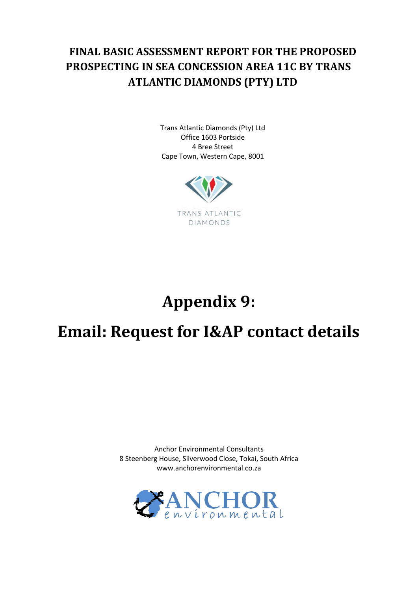## **FINAL BASIC ASSESSMENT REPORT FOR THE PROPOSED PROSPECTING IN SEA CONCESSION AREA 11C BY TRANS ATLANTIC DIAMONDS (PTY) LTD**

Trans Atlantic Diamonds (Pty) Ltd Office 1603 Portside 4 Bree Street Cape Town, Western Cape, 8001



## **Appendix 9:**

## **Email: Request for I&AP contact details**

Anchor Environmental Consultants 8 Steenberg House, Silverwood Close, Tokai, South Africa www.anchorenvironmental.co.za